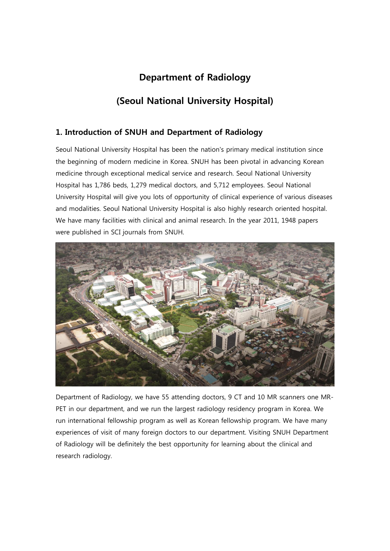# Department of Radiology

# (Seoul National University Hospital)

# 1. Introduction of SNUH and Department of Radiology

Seoul National University Hospital has been the nation's primary medical institution since the beginning of modern medicine in Korea. SNUH has been pivotal in advancing Korean medicine through exceptional medical service and research. Seoul National University Hospital has 1,786 beds, 1,279 medical doctors, and 5,712 employees. Seoul National University Hospital will give you lots of opportunity of clinical experience of various diseases and modalities. Seoul National University Hospital is also highly research oriented hospital. We have many facilities with clinical and animal research. In the year 2011, 1948 papers were published in SCI journals from SNUH.



Department of Radiology, we have 55 attending doctors, 9 CT and 10 MR scanners one MR-PET in our department, and we run the largest radiology residency program in Korea. We run international fellowship program as well as Korean fellowship program. We have many experiences of visit of many foreign doctors to our department. Visiting SNUH Department of Radiology will be definitely the best opportunity for learning about the clinical and research radiology.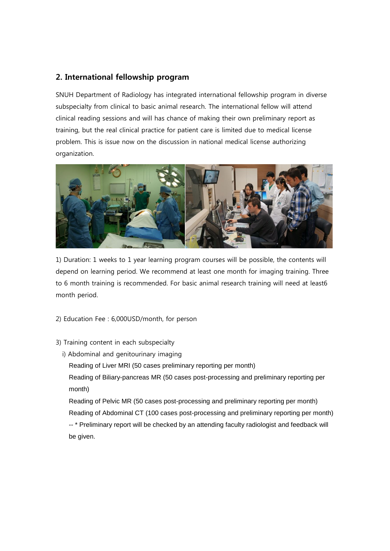## 2. International fellowship program

SNUH Department of Radiology has integrated international fellowship program in diverse subspecialty from clinical to basic animal research. The international fellow will attend clinical reading sessions and will has chance of making their own preliminary report as training, but the real clinical practice for patient care is limited due to medical license problem. This is issue now on the discussion in national medical license authorizing organization.



1) Duration: 1 weeks to 1 year learning program courses will be possible, the contents will depend on learning period. We recommend at least one month for imaging training. Three to 6 month training is recommended. For basic animal research training will need at least6 month period.

- 2) Education Fee : 6,000USD/month, for person
- 3) Training content in each subspecialty
	- i) Abdominal and genitourinary imaging

Reading of Liver MRI (50 cases preliminary reporting per month)

Reading of Biliary-pancreas MR (50 cases post-processing and preliminary reporting per month)

Reading of Pelvic MR (50 cases post-processing and preliminary reporting per month) Reading of Abdominal CT (100 cases post-processing and preliminary reporting per month) -- \* Preliminary report will be checked by an attending faculty radiologist and feedback will be given.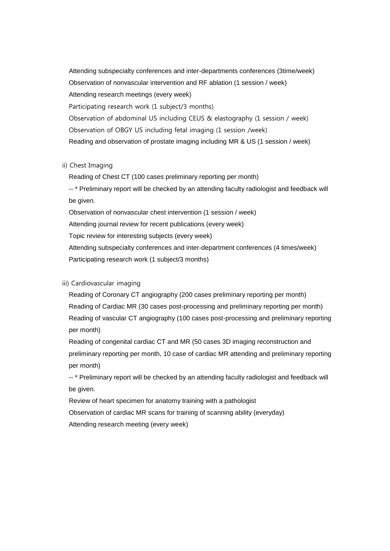Attending subspecialty conferences and inter-departments conferences (3time/week) Observation of nonvascular intervention and RF ablation (1 session / week) Attending research meetings (every week) Participating research work (1 subject/3 months) Observation of abdominal US including CEUS & elastography (1 session / week) Observation of OBGY US including fetal imaging (1 session /week) Reading and observation of prostate imaging including MR & US (1 session / week)

### ii) Chest Imaging

Reading of Chest CT (100 cases preliminary reporting per month)

-- \* Preliminary report will be checked by an attending faculty radiologist and feedback will be given.

Observation of nonvascular chest intervention (1 session / week) Attending journal review for recent publications (every week) Topic review for interesting subjects (every week) Attending subspecialty conferences and inter-department conferences (4 times/week)

Participating research work (1 subject/3 months)

### iii) Cardiovascular imaging

Reading of Coronary CT angiography (200 cases preliminary reporting per month) Reading of Cardiac MR (30 cases post-processing and preliminary reporting per month) Reading of vascular CT angiography (100 cases post-processing and preliminary reporting per month)

Reading of congenital cardiac CT and MR (50 cases 3D imaging reconstruction and preliminary reporting per month, 10 case of cardiac MR attending and preliminary reporting per month)

-- \* Preliminary report will be checked by an attending faculty radiologist and feedback will be given.

Review of heart specimen for anatomy training with a pathologist

Observation of cardiac MR scans for training of scanning ability (everyday)

Attending research meeting (every week)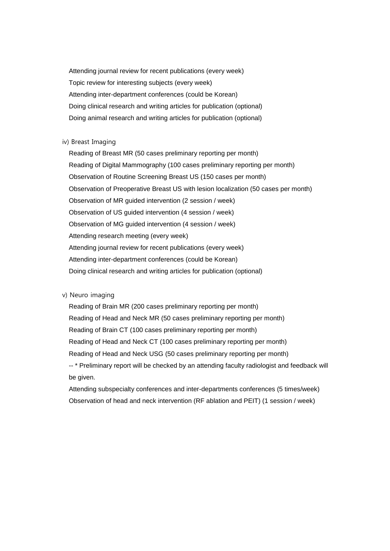Attending journal review for recent publications (every week) Topic review for interesting subjects (every week) Attending inter-department conferences (could be Korean) Doing clinical research and writing articles for publication (optional) Doing animal research and writing articles for publication (optional)

### iv) Breast Imaging

Reading of Breast MR (50 cases preliminary reporting per month) Reading of Digital Mammography (100 cases preliminary reporting per month) Observation of Routine Screening Breast US (150 cases per month) Observation of Preoperative Breast US with lesion localization (50 cases per month) Observation of MR guided intervention (2 session / week) Observation of US guided intervention (4 session / week) Observation of MG guided intervention (4 session / week) Attending research meeting (every week) Attending journal review for recent publications (every week) Attending inter-department conferences (could be Korean) Doing clinical research and writing articles for publication (optional)

#### v) Neuro imaging

Reading of Brain MR (200 cases preliminary reporting per month) Reading of Head and Neck MR (50 cases preliminary reporting per month) Reading of Brain CT (100 cases preliminary reporting per month) Reading of Head and Neck CT (100 cases preliminary reporting per month) Reading of Head and Neck USG (50 cases preliminary reporting per month) -- \* Preliminary report will be checked by an attending faculty radiologist and feedback will be given.

Attending subspecialty conferences and inter-departments conferences (5 times/week) Observation of head and neck intervention (RF ablation and PEIT) (1 session / week)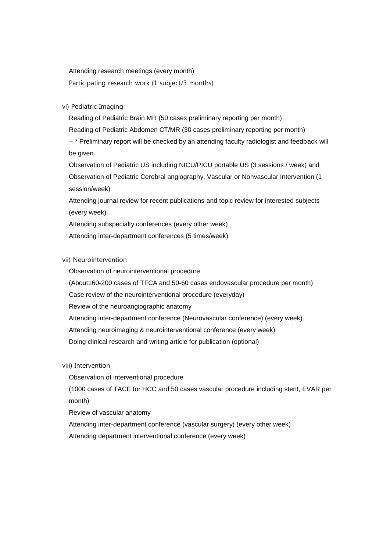Attending research meetings (every month)

Participating research work (1 subject/3 months)

#### vi) Pediatric Imaging

Reading of Pediatric Brain MR (50 cases preliminary reporting per month) Reading of Pediatric Abdomen CT/MR (30 cases preliminary reporting per month) -- \* Preliminary report will be checked by an attending faculty radiologist and feedback will be given. Observation of Pediatric US including NICU/PICU portable US (3 sessions / week) and Observation of Pediatric Cerebral angiography, Vascular or Nonvascular Intervention (1

session/week)

Attending journal review for recent publications and topic review for interested subjects (every week)

Attending subspecialty conferences (every other week) Attending inter-department conferences (5 times/week)

#### vii) Neurointervention

Observation of neurointerventional procedure

(About160-200 cases of TFCA and 50-60 cases endovascular procedure per month)

Case review of the neurointerventional procedure (everyday)

Review of the neuroangiographic anatomy

Attending inter-department conference (Neurovascular conference) (every week)

Attending neuroimaging & neurointerventional conference (every week)

Doing clinical research and writing article for publication (optional)

viii) Intervention

Observation of interventional procedure

(1000 cases of TACE for HCC and 50 cases vascular procedure including stent, EVAR per month)

Review of vascular anatomy

Attending inter-department conference (vascular surgery) (every other week)

Attending department interventional conference (every week)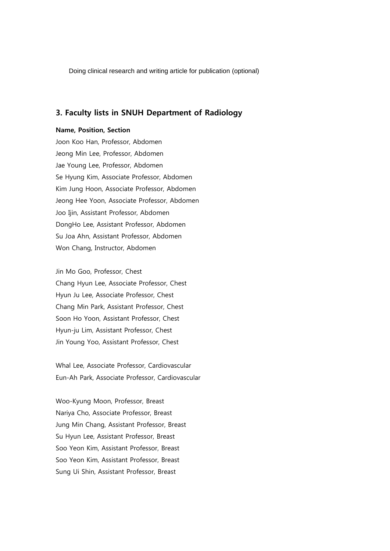Doing clinical research and writing article for publication (optional)

### 3. Faculty lists in SNUH Department of Radiology

#### Name, Position, Section

Joon Koo Han, Professor, Abdomen Jeong Min Lee, Professor, Abdomen Jae Young Lee, Professor, Abdomen Se Hyung Kim, Associate Professor, Abdomen Kim Jung Hoon, Associate Professor, Abdomen Jeong Hee Yoon, Associate Professor, Abdomen Joo Ijin, Assistant Professor, Abdomen DongHo Lee, Assistant Professor, Abdomen Su Joa Ahn, Assistant Professor, Abdomen Won Chang, Instructor, Abdomen

Jin Mo Goo, Professor, Chest Chang Hyun Lee, Associate Professor, Chest Hyun Ju Lee, Associate Professor, Chest Chang Min Park, Assistant Professor, Chest Soon Ho Yoon, Assistant Professor, Chest Hyun-ju Lim, Assistant Professor, Chest Jin Young Yoo, Assistant Professor, Chest

Whal Lee, Associate Professor, Cardiovascular Eun-Ah Park, Associate Professor, Cardiovascular

Woo-Kyung Moon, Professor, Breast Nariya Cho, Associate Professor, Breast Jung Min Chang, Assistant Professor, Breast Su Hyun Lee, Assistant Professor, Breast Soo Yeon Kim, Assistant Professor, Breast Soo Yeon Kim, Assistant Professor, Breast Sung Ui Shin, Assistant Professor, Breast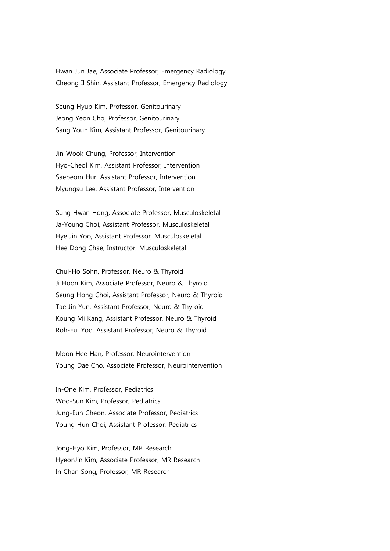Hwan Jun Jae, Associate Professor, Emergency Radiology Cheong Il Shin, Assistant Professor, Emergency Radiology

Seung Hyup Kim, Professor, Genitourinary Jeong Yeon Cho, Professor, Genitourinary Sang Youn Kim, Assistant Professor, Genitourinary

Jin-Wook Chung, Professor, Intervention Hyo-Cheol Kim, Assistant Professor, Intervention Saebeom Hur, Assistant Professor, Intervention Myungsu Lee, Assistant Professor, Intervention

Sung Hwan Hong, Associate Professor, Musculoskeletal Ja-Young Choi, Assistant Professor, Musculoskeletal Hye Jin Yoo, Assistant Professor, Musculoskeletal Hee Dong Chae, Instructor, Musculoskeletal

Chul-Ho Sohn, Professor, Neuro & Thyroid Ji Hoon Kim, Associate Professor, Neuro & Thyroid Seung Hong Choi, Assistant Professor, Neuro & Thyroid Tae Jin Yun, Assistant Professor, Neuro & Thyroid Koung Mi Kang, Assistant Professor, Neuro & Thyroid Roh-Eul Yoo, Assistant Professor, Neuro & Thyroid

Moon Hee Han, Professor, Neurointervention Young Dae Cho, Associate Professor, Neurointervention

In-One Kim, Professor, Pediatrics Woo-Sun Kim, Professor, Pediatrics Jung-Eun Cheon, Associate Professor, Pediatrics Young Hun Choi, Assistant Professor, Pediatrics

Jong-Hyo Kim, Professor, MR Research HyeonJin Kim, Associate Professor, MR Research In Chan Song, Professor, MR Research